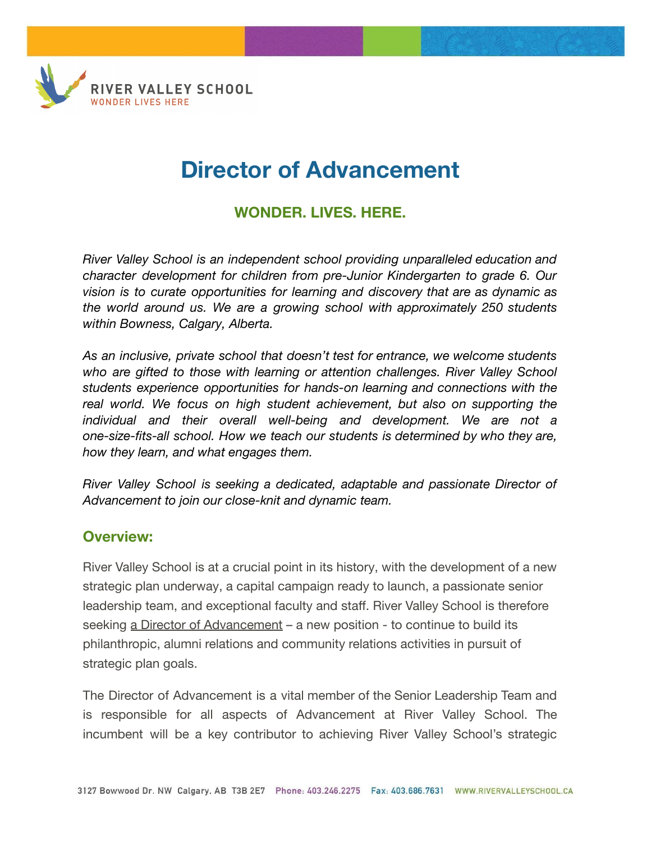

# **Director of Advancement**

# **WONDER. LIVES. HERE.**

*River Valley School is an independent school providing unparalleled education and character development for children from pre-Junior Kindergarten to grade 6. Our vision is to curate opportunities for learning and discovery that are as dynamic as the world around us. We are a growing school with approximately 250 students within Bowness, Calgary, Alberta.*

*As an inclusive, private school that doesn't test for entrance, we welcome students who are gifted to those with learning or attention challenges. River Valley School students experience opportunities for hands-on learning and connections with the real world. We focus on high student achievement, but also on supporting the individual and their overall well-being and development. We are not a one-size-fits-all school. How we teach our students is determined by who they are, how they learn, and what engages them.*

*River Valley School is seeking a dedicated, adaptable and passionate Director of Advancement to join our close-knit and dynamic team.* 

## **Overview:**

River Valley School is at a crucial point in its history, with the development of a new strategic plan underway, a capital campaign ready to launch, a passionate senior leadership team, and exceptional faculty and staff. River Valley School is therefore seeking a Director of Advancement – a new position - to continue to build its philanthropic, alumni relations and community relations activities in pursuit of strategic plan goals.

The Director of Advancement is a vital member of the Senior Leadership Team and is responsible for all aspects of Advancement at River Valley School. The incumbent will be a key contributor to achieving River Valley School's strategic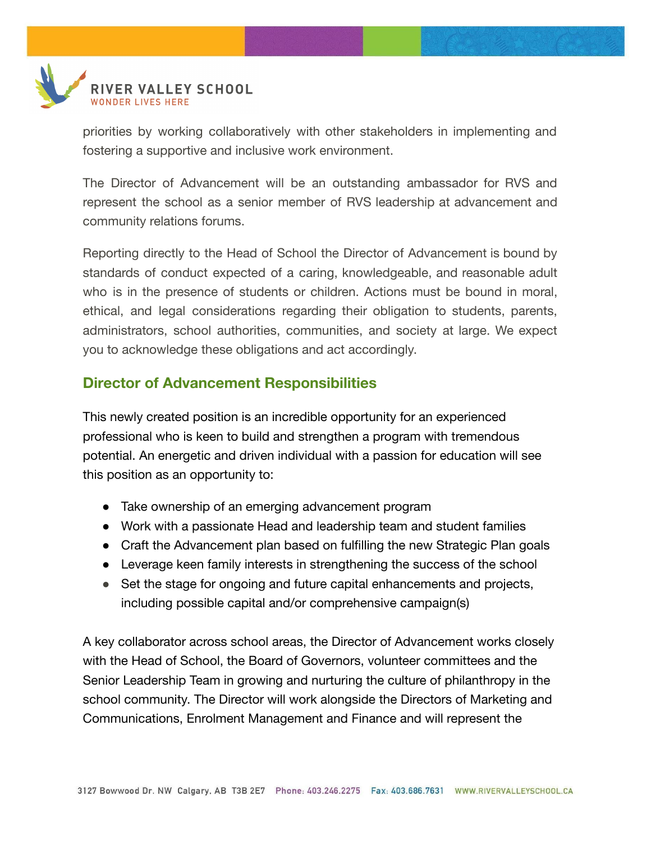

priorities by working collaboratively with other stakeholders in implementing and fostering a supportive and inclusive work environment.

The Director of Advancement will be an outstanding ambassador for RVS and represent the school as a senior member of RVS leadership at advancement and community relations forums.

Reporting directly to the Head of School the Director of Advancement is bound by standards of conduct expected of a caring, knowledgeable, and reasonable adult who is in the presence of students or children. Actions must be bound in moral, ethical, and legal considerations regarding their obligation to students, parents, administrators, school authorities, communities, and society at large. We expect you to acknowledge these obligations and act accordingly.

## **Director of Advancement Responsibilities**

This newly created position is an incredible opportunity for an experienced professional who is keen to build and strengthen a program with tremendous potential. An energetic and driven individual with a passion for education will see this position as an opportunity to:

- Take ownership of an emerging advancement program
- Work with a passionate Head and leadership team and student families
- Craft the Advancement plan based on fulfilling the new Strategic Plan goals
- Leverage keen family interests in strengthening the success of the school
- Set the stage for ongoing and future capital enhancements and projects, including possible capital and/or comprehensive campaign(s)

A key collaborator across school areas, the Director of Advancement works closely with the Head of School, the Board of Governors, volunteer committees and the Senior Leadership Team in growing and nurturing the culture of philanthropy in the school community. The Director will work alongside the Directors of Marketing and Communications, Enrolment Management and Finance and will represent the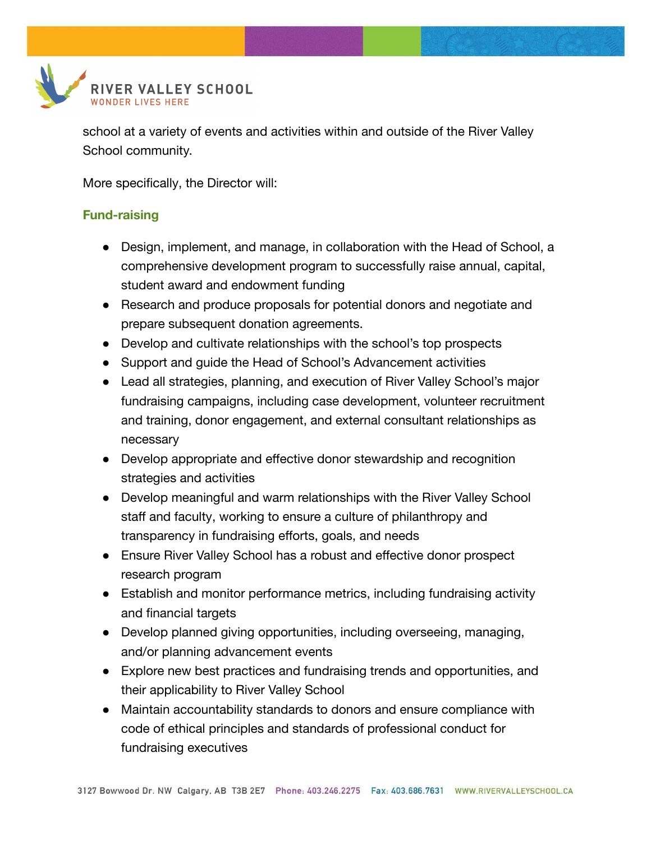

school at a variety of events and activities within and outside of the River Valley School community.

More specifically, the Director will:

## **Fund-raising**

- Design, implement, and manage, in collaboration with the Head of School, a comprehensive development program to successfully raise annual, capital, student award and endowment funding
- Research and produce proposals for potential donors and negotiate and prepare subsequent donation agreements.
- Develop and cultivate relationships with the school's top prospects
- Support and guide the Head of School's Advancement activities
- Lead all strategies, planning, and execution of River Valley School's major fundraising campaigns, including case development, volunteer recruitment and training, donor engagement, and external consultant relationships as necessary
- Develop appropriate and effective donor stewardship and recognition strategies and activities
- Develop meaningful and warm relationships with the River Valley School staff and faculty, working to ensure a culture of philanthropy and transparency in fundraising efforts, goals, and needs
- Ensure River Valley School has a robust and effective donor prospect research program
- Establish and monitor performance metrics, including fundraising activity and financial targets
- Develop planned giving opportunities, including overseeing, managing, and/or planning advancement events
- Explore new best practices and fundraising trends and opportunities, and their applicability to River Valley School
- Maintain accountability standards to donors and ensure compliance with code of ethical principles and standards of professional conduct for fundraising executives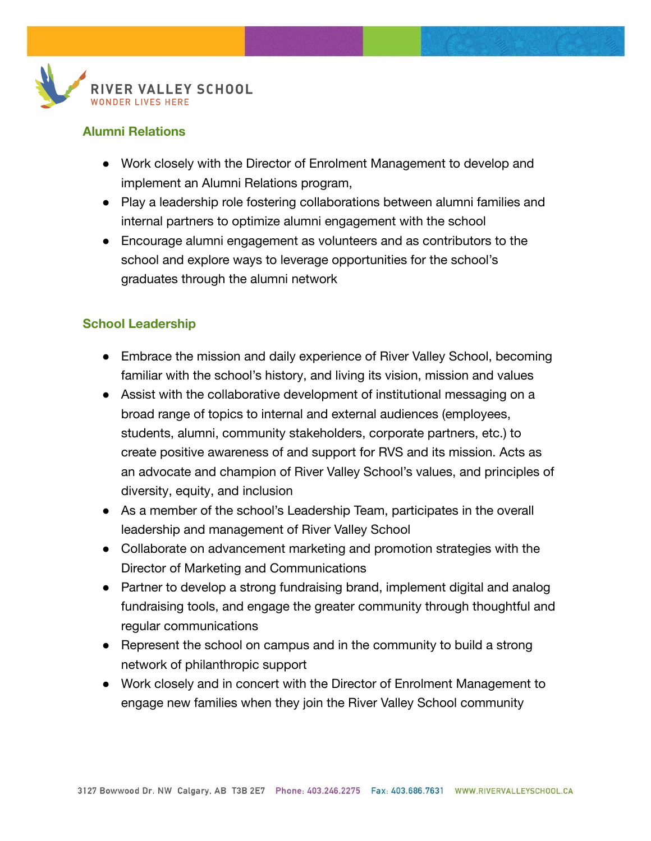

#### **Alumni Relations**

- Work closely with the Director of Enrolment Management to develop and implement an Alumni Relations program,
- Play a leadership role fostering collaborations between alumni families and internal partners to optimize alumni engagement with the school
- Encourage alumni engagement as volunteers and as contributors to the school and explore ways to leverage opportunities for the school's graduates through the alumni network

### **School Leadership**

- Embrace the mission and daily experience of River Valley School, becoming familiar with the school's history, and living its vision, mission and values
- Assist with the collaborative development of institutional messaging on a broad range of topics to internal and external audiences (employees, students, alumni, community stakeholders, corporate partners, etc.) to create positive awareness of and support for RVS and its mission. Acts as an advocate and champion of River Valley School's values, and principles of diversity, equity, and inclusion
- As a member of the school's Leadership Team, participates in the overall leadership and management of River Valley School
- Collaborate on advancement marketing and promotion strategies with the Director of Marketing and Communications
- Partner to develop a strong fundraising brand, implement digital and analog fundraising tools, and engage the greater community through thoughtful and regular communications
- Represent the school on campus and in the community to build a strong network of philanthropic support
- Work closely and in concert with the Director of Enrolment Management to engage new families when they join the River Valley School community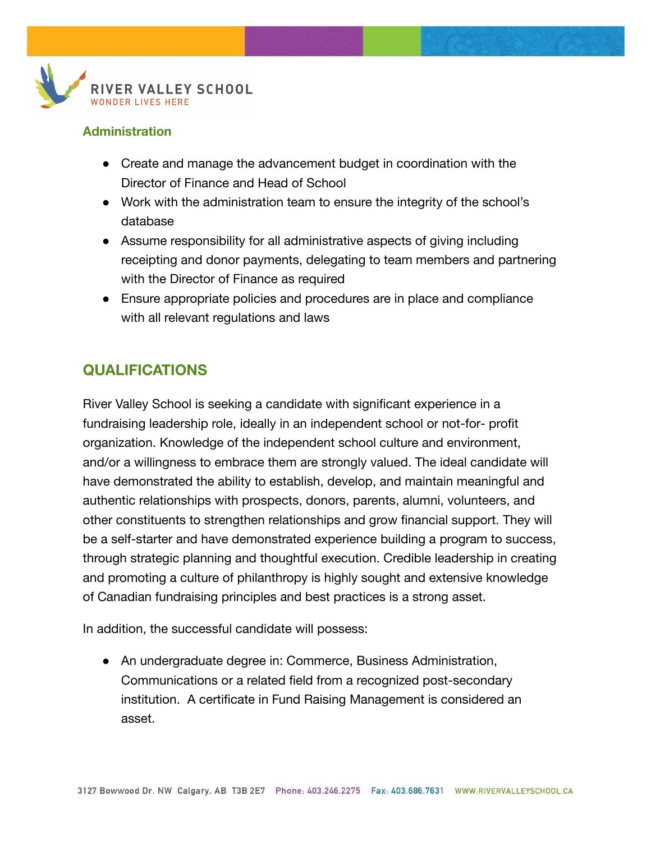

### **Administration**

- Create and manage the advancement budget in coordination with the Director of Finance and Head of School
- Work with the administration team to ensure the integrity of the school's database
- Assume responsibility for all administrative aspects of giving including receipting and donor payments, delegating to team members and partnering with the Director of Finance as required
- Ensure appropriate policies and procedures are in place and compliance with all relevant regulations and laws

# **QUALIFICATIONS**

River Valley School is seeking a candidate with significant experience in a fundraising leadership role, ideally in an independent school or not-for- profit organization. Knowledge of the independent school culture and environment, and/or a willingness to embrace them are strongly valued. The ideal candidate will have demonstrated the ability to establish, develop, and maintain meaningful and authentic relationships with prospects, donors, parents, alumni, volunteers, and other constituents to strengthen relationships and grow financial support. They will be a self-starter and have demonstrated experience building a program to success, through strategic planning and thoughtful execution. Credible leadership in creating and promoting a culture of philanthropy is highly sought and extensive knowledge of Canadian fundraising principles and best practices is a strong asset.

In addition, the successful candidate will possess:

● An undergraduate degree in: Commerce, Business Administration, Communications or a related field from a recognized post-secondary institution. A certificate in Fund Raising Management is considered an asset.